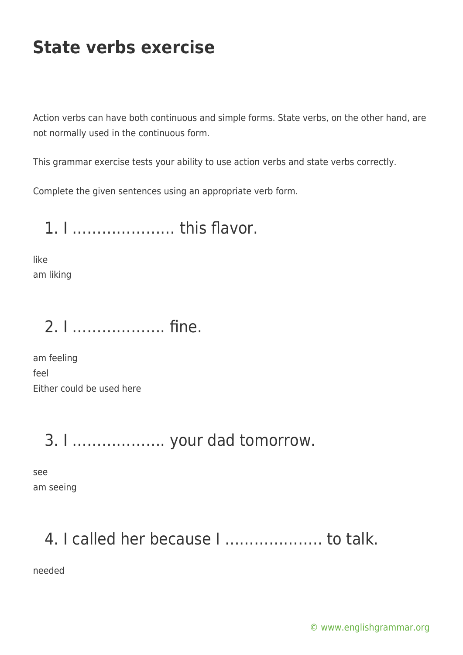Action verbs can have both continuous and simple forms. State verbs, on the other hand, are not normally used in the continuous form.

This grammar exercise tests your ability to use action verbs and state verbs correctly.

Complete the given sentences using an appropriate verb form.

1. I ………………… this flavor.

like am liking

#### 2. I ………………. fine.

am feeling feel Either could be used here

#### 3. I ………………. your dad tomorrow.

see am seeing

#### 4. I called her because I ……………….. to talk.

needed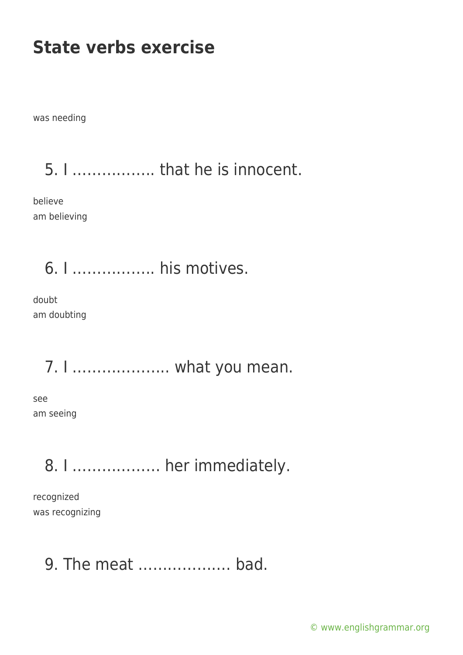was needing

5. I …………….. that he is innocent.

believe am believing

6. I …………….. his motives.

doubt am doubting

7. I ……………….. what you mean.

see am seeing

8. I ……………… her immediately.

recognized was recognizing

9. The meat ………………. bad.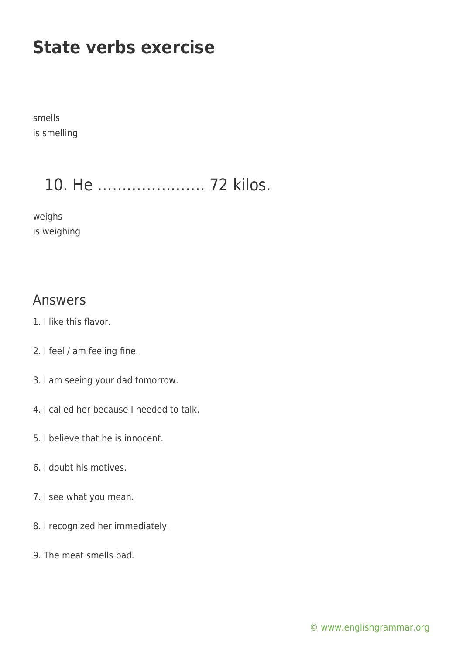smells is smelling

## 10. He …………………. 72 kilos.

weighs is weighing

#### Answers

- 1. I like this flavor.
- 2. I feel / am feeling fine.
- 3. I am seeing your dad tomorrow.
- 4. I called her because I needed to talk.
- 5. I believe that he is innocent.
- 6. I doubt his motives.
- 7. I see what you mean.
- 8. I recognized her immediately.
- 9. The meat smells bad.